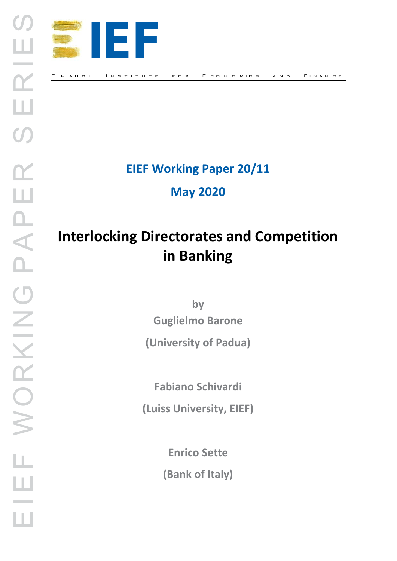

**EIEF Working Paper 20/11**

**May 2020** 

# **Interlocking Directorates and Competition in Banking**

**by Guglielmo Barone**

**(University of Padua)**

**Fabiano Schivardi**

**(Luiss University, EIEF)**

**Enrico Sette**

**(Bank of Italy)**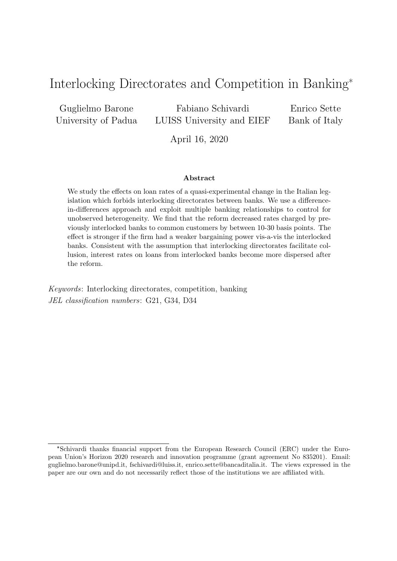# Interlocking Directorates and Competition in Banking\*

Guglielmo Barone University of Padua

Fabiano Schivardi LUISS University and EIEF

Enrico Sette Bank of Italy

April 16, 2020

#### Abstract

We study the effects on loan rates of a quasi-experimental change in the Italian legislation which forbids interlocking directorates between banks. We use a differencein-differences approach and exploit multiple banking relationships to control for unobserved heterogeneity. We find that the reform decreased rates charged by previously interlocked banks to common customers by between 10-30 basis points. The effect is stronger if the firm had a weaker bargaining power vis-a-vis the interlocked banks. Consistent with the assumption that interlocking directorates facilitate collusion, interest rates on loans from interlocked banks become more dispersed after the reform.

Keywords: Interlocking directorates, competition, banking JEL classification numbers: G21, G34, D34

<sup>\*</sup>Schivardi thanks financial support from the European Research Council (ERC) under the European Union's Horizon 2020 research and innovation programme (grant agreement No 835201). Email: guglielmo.barone@unipd.it, fschivardi@luiss.it, enrico.sette@bancaditalia.it. The views expressed in the paper are our own and do not necessarily reflect those of the institutions we are affiliated with.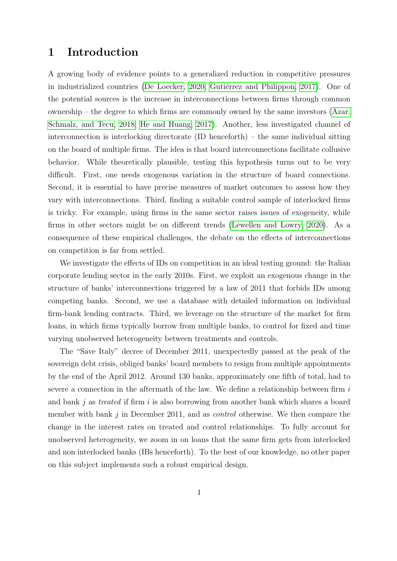### 1 Introduction

A growing body of evidence points to a generalized reduction in competitive pressures in industrialized countries [\(De Loecker, 2020;](#page-16-0) Gutiérrez and Philippon, 2017). One of the potential sources is the increase in interconnections between firms through common ownership – the degree to which firms are commonly owned by the same investors [\(Azar,](#page-16-1) [Schmalz, and Tecu, 2018;](#page-16-1) [He and Huang, 2017\)](#page-17-1). Another, less investigated channel of interconnection is interlocking directorate (ID henceforth) – the same individual sitting on the board of multiple firms. The idea is that board interconnections facilitate collusive behavior. While theoretically plausible, testing this hypothesis turns out to be very difficult. First, one needs exogenous variation in the structure of board connections. Second, it is essential to have precise measures of market outcomes to assess how they vary with interconnections. Third, finding a suitable control sample of interlocked firms is tricky. For example, using firms in the same sector raises issues of exogeneity, while firms in other sectors might be on different trends [\(Lewellen and Lowry, 2020\)](#page-17-2). As a consequence of these empirical challenges, the debate on the effects of interconnections on competition is far from settled.

We investigate the effects of IDs on competition in an ideal testing ground: the Italian corporate lending sector in the early 2010s. First, we exploit an exogenous change in the structure of banks' interconnections triggered by a law of 2011 that forbids IDs among competing banks. Second, we use a database with detailed information on individual firm-bank lending contracts. Third, we leverage on the structure of the market for firm loans, in which firms typically borrow from multiple banks, to control for fixed and time varying unobserved heterogeneity between treatments and controls.

The "Save Italy" decree of December 2011, unexpectedly passed at the peak of the sovereign debt crisis, obliged banks' board members to resign from multiple appointments by the end of the April 2012. Around 130 banks, approximately one fifth of total, had to severe a connection in the aftermath of the law. We define a relationship between firm  $i$ and bank j as treated if firm i is also borrowing from another bank which shares a board member with bank  $j$  in December 2011, and as *control* otherwise. We then compare the change in the interest rates on treated and control relationships. To fully account for unobserved heterogeneity, we zoom in on loans that the same firm gets from interlocked and non interlocked banks (IBs henceforth). To the best of our knowledge, no other paper on this subject implements such a robust empirical design.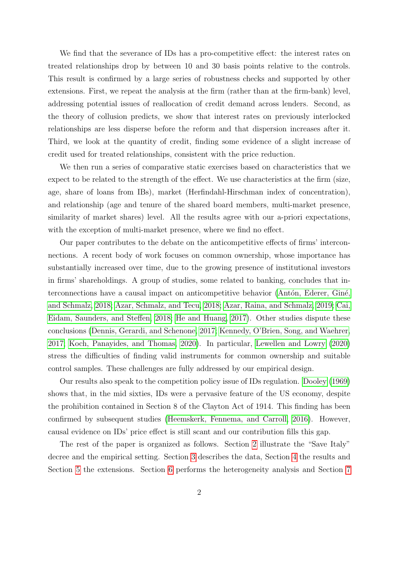We find that the severance of IDs has a pro-competitive effect: the interest rates on treated relationships drop by between 10 and 30 basis points relative to the controls. This result is confirmed by a large series of robustness checks and supported by other extensions. First, we repeat the analysis at the firm (rather than at the firm-bank) level, addressing potential issues of reallocation of credit demand across lenders. Second, as the theory of collusion predicts, we show that interest rates on previously interlocked relationships are less disperse before the reform and that dispersion increases after it. Third, we look at the quantity of credit, finding some evidence of a slight increase of credit used for treated relationships, consistent with the price reduction.

We then run a series of comparative static exercises based on characteristics that we expect to be related to the strength of the effect. We use characteristics at the firm (size, age, share of loans from IBs), market (Herfindahl-Hirschman index of concentration), and relationship (age and tenure of the shared board members, multi-market presence, similarity of market shares) level. All the results agree with our a-priori expectations, with the exception of multi-market presence, where we find no effect.

Our paper contributes to the debate on the anticompetitive effects of firms' interconnections. A recent body of work focuses on common ownership, whose importance has substantially increased over time, due to the growing presence of institutional investors in firms' shareholdings. A group of studies, some related to banking, concludes that interconnections have a causal impact on anticompetitive behavior (Antón, Ederer, Giné, [and Schmalz, 2018;](#page-16-2) [Azar, Schmalz, and Tecu, 2018;](#page-16-1) [Azar, Raina, and Schmalz, 2019;](#page-16-3) [Cai,](#page-16-4) [Eidam, Saunders, and Steffen, 2018;](#page-16-4) [He and Huang, 2017\)](#page-17-1). Other studies dispute these conclusions [\(Dennis, Gerardi, and Schenone, 2017;](#page-16-5) [Kennedy, O'Brien, Song, and Waehrer,](#page-17-3) [2017;](#page-17-3) [Koch, Panayides, and Thomas, 2020\)](#page-17-4). In particular, [Lewellen and Lowry](#page-17-2) [\(2020\)](#page-17-2) stress the difficulties of finding valid instruments for common ownership and suitable control samples. These challenges are fully addressed by our empirical design.

Our results also speak to the competition policy issue of IDs regulation. [Dooley](#page-17-5) [\(1969\)](#page-17-5) shows that, in the mid sixties, IDs were a pervasive feature of the US economy, despite the prohibition contained in Section 8 of the Clayton Act of 1914. This finding has been confirmed by subsequent studies [\(Heemskerk, Fennema, and Carroll, 2016\)](#page-17-6). However, causal evidence on IDs' price effect is still scant and our contribution fills this gap.

The rest of the paper is organized as follows. Section [2](#page-4-0) illustrate the "Save Italy" decree and the empirical setting. Section [3](#page-7-0) describes the data, Section [4](#page-8-0) the results and Section [5](#page-11-0) the extensions. Section [6](#page-13-0) performs the heterogeneity analysis and Section [7](#page-15-0)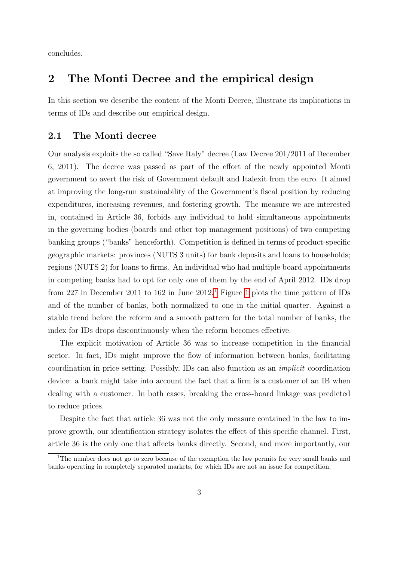concludes.

# <span id="page-4-0"></span>2 The Monti Decree and the empirical design

In this section we describe the content of the Monti Decree, illustrate its implications in terms of IDs and describe our empirical design.

#### 2.1 The Monti decree

Our analysis exploits the so called "Save Italy" decree (Law Decree 201/2011 of December 6, 2011). The decree was passed as part of the effort of the newly appointed Monti government to avert the risk of Government default and Italexit from the euro. It aimed at improving the long-run sustainability of the Government's fiscal position by reducing expenditures, increasing revenues, and fostering growth. The measure we are interested in, contained in Article 36, forbids any individual to hold simultaneous appointments in the governing bodies (boards and other top management positions) of two competing banking groups ("banks" henceforth). Competition is defined in terms of product-specific geographic markets: provinces (NUTS 3 units) for bank deposits and loans to households; regions (NUTS 2) for loans to firms. An individual who had multiple board appointments in competing banks had to opt for only one of them by the end of April 2012. IDs drop from 227 in December 20[1](#page-4-1)1 to [1](#page-18-0)62 in June 2012.<sup>1</sup> Figure 1 plots the time pattern of IDs and of the number of banks, both normalized to one in the initial quarter. Against a stable trend before the reform and a smooth pattern for the total number of banks, the index for IDs drops discontinuously when the reform becomes effective.

The explicit motivation of Article 36 was to increase competition in the financial sector. In fact, IDs might improve the flow of information between banks, facilitating coordination in price setting. Possibly, IDs can also function as an implicit coordination device: a bank might take into account the fact that a firm is a customer of an IB when dealing with a customer. In both cases, breaking the cross-board linkage was predicted to reduce prices.

Despite the fact that article 36 was not the only measure contained in the law to improve growth, our identification strategy isolates the effect of this specific channel. First, article 36 is the only one that affects banks directly. Second, and more importantly, our

<span id="page-4-1"></span><sup>&</sup>lt;sup>1</sup>The number does not go to zero because of the exemption the law permits for very small banks and banks operating in completely separated markets, for which IDs are not an issue for competition.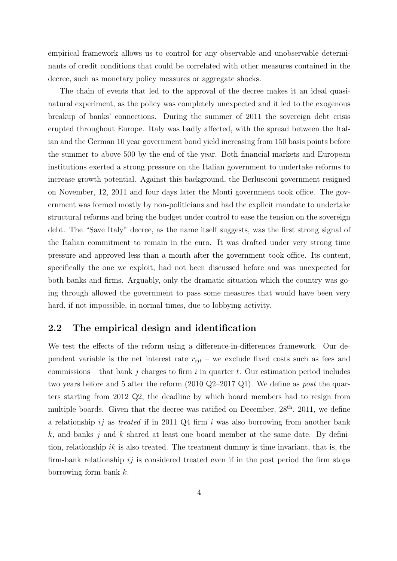empirical framework allows us to control for any observable and unobservable determinants of credit conditions that could be correlated with other measures contained in the decree, such as monetary policy measures or aggregate shocks.

The chain of events that led to the approval of the decree makes it an ideal quasinatural experiment, as the policy was completely unexpected and it led to the exogenous breakup of banks' connections. During the summer of 2011 the sovereign debt crisis erupted throughout Europe. Italy was badly affected, with the spread between the Italian and the German 10 year government bond yield increasing from 150 basis points before the summer to above 500 by the end of the year. Both financial markets and European institutions exerted a strong pressure on the Italian government to undertake reforms to increase growth potential. Against this background, the Berlusconi government resigned on November, 12, 2011 and four days later the Monti government took office. The government was formed mostly by non-politicians and had the explicit mandate to undertake structural reforms and bring the budget under control to ease the tension on the sovereign debt. The "Save Italy" decree, as the name itself suggests, was the first strong signal of the Italian commitment to remain in the euro. It was drafted under very strong time pressure and approved less than a month after the government took office. Its content, specifically the one we exploit, had not been discussed before and was unexpected for both banks and firms. Arguably, only the dramatic situation which the country was going through allowed the government to pass some measures that would have been very hard, if not impossible, in normal times, due to lobbying activity.

#### 2.2 The empirical design and identification

We test the effects of the reform using a difference-in-differences framework. Our dependent variable is the net interest rate  $r_{ijt}$  – we exclude fixed costs such as fees and commissions – that bank j charges to firm i in quarter t. Our estimation period includes two years before and 5 after the reform (2010 Q2–2017 Q1). We define as post the quarters starting from 2012 Q2, the deadline by which board members had to resign from multiple boards. Given that the decree was ratified on December,  $28<sup>th</sup>$ ,  $2011$ , we define a relationship ij as treated if in 2011 Q4 firm i was also borrowing from another bank k, and banks j and k shared at least one board member at the same date. By definition, relationship ik is also treated. The treatment dummy is time invariant, that is, the firm-bank relationship  $ij$  is considered treated even if in the post period the firm stops borrowing form bank k.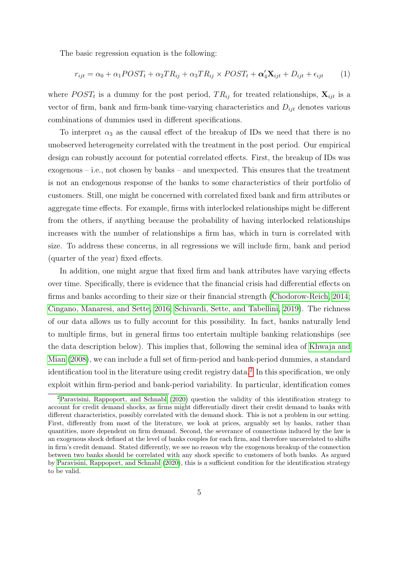The basic regression equation is the following:

<span id="page-6-1"></span>
$$
r_{ijt} = \alpha_0 + \alpha_1 POST_t + \alpha_2 TR_{ij} + \alpha_3 TR_{ij} \times POST_t + \alpha'_4 \mathbf{X}_{ijt} + D_{ijt} + \epsilon_{ijt}
$$
 (1)

where  $POST_t$  is a dummy for the post period,  $TR_{ij}$  for treated relationships,  $\mathbf{X}_{ijt}$  is a vector of firm, bank and firm-bank time-varying characteristics and  $D_{ijt}$  denotes various combinations of dummies used in different specifications.

To interpret  $\alpha_3$  as the causal effect of the breakup of IDs we need that there is no unobserved heterogeneity correlated with the treatment in the post period. Our empirical design can robustly account for potential correlated effects. First, the breakup of IDs was exogenous – i.e., not chosen by banks – and unexpected. This ensures that the treatment is not an endogenous response of the banks to some characteristics of their portfolio of customers. Still, one might be concerned with correlated fixed bank and firm attributes or aggregate time effects. For example, firms with interlocked relationships might be different from the others, if anything because the probability of having interlocked relationships increases with the number of relationships a firm has, which in turn is correlated with size. To address these concerns, in all regressions we will include firm, bank and period (quarter of the year) fixed effects.

In addition, one might argue that fixed firm and bank attributes have varying effects over time. Specifically, there is evidence that the financial crisis had differential effects on firms and banks according to their size or their financial strength [\(Chodorow-Reich, 2014;](#page-16-6) [Cingano, Manaresi, and Sette, 2016;](#page-16-7) [Schivardi, Sette, and Tabellini, 2019\)](#page-17-7). The richness of our data allows us to fully account for this possibility. In fact, banks naturally lend to multiple firms, but in general firms too entertain multiple banking relationships (see the data description below). This implies that, following the seminal idea of [Khwaja and](#page-17-8) [Mian](#page-17-8) [\(2008\)](#page-17-8), we can include a full set of firm-period and bank-period dummies, a standard identification tool in the literature using credit registry data.<sup>[2](#page-6-0)</sup> In this specification, we only exploit within firm-period and bank-period variability. In particular, identification comes

<span id="page-6-0"></span><sup>2</sup>[Paravisini, Rappoport, and Schnabl](#page-17-9) [\(2020\)](#page-17-9) question the validity of this identification strategy to account for credit demand shocks, as firms might differentially direct their credit demand to banks with different characteristics, possibly correlated with the demand shock. This is not a problem in our setting. First, differently from most of the literature, we look at prices, arguably set by banks, rather than quantities, more dependent on firm demand. Second, the severance of connections induced by the law is an exogenous shock defined at the level of banks couples for each firm, and therefore uncorrelated to shifts in firm's credit demand. Stated differently, we see no reason why the exogenous breakup of the connection between two banks should be correlated with any shock specific to customers of both banks. As argued by [Paravisini, Rappoport, and Schnabl](#page-17-9) [\(2020\)](#page-17-9), this is a sufficient condition for the identification strategy to be valid.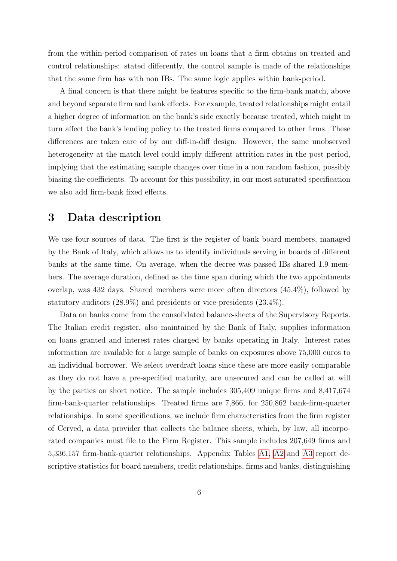from the within-period comparison of rates on loans that a firm obtains on treated and control relationships: stated differently, the control sample is made of the relationships that the same firm has with non IBs. The same logic applies within bank-period.

A final concern is that there might be features specific to the firm-bank match, above and beyond separate firm and bank effects. For example, treated relationships might entail a higher degree of information on the bank's side exactly because treated, which might in turn affect the bank's lending policy to the treated firms compared to other firms. These differences are taken care of by our diff-in-diff design. However, the same unobserved heterogeneity at the match level could imply different attrition rates in the post period, implying that the estimating sample changes over time in a non random fashion, possibly biasing the coefficients. To account for this possibility, in our most saturated specification we also add firm-bank fixed effects.

# <span id="page-7-0"></span>3 Data description

We use four sources of data. The first is the register of bank board members, managed by the Bank of Italy, which allows us to identify individuals serving in boards of different banks at the same time. On average, when the decree was passed IBs shared 1.9 members. The average duration, defined as the time span during which the two appointments overlap, was 432 days. Shared members were more often directors (45.4%), followed by statutory auditors (28.9%) and presidents or vice-presidents (23.4%).

Data on banks come from the consolidated balance-sheets of the Supervisory Reports. The Italian credit register, also maintained by the Bank of Italy, supplies information on loans granted and interest rates charged by banks operating in Italy. Interest rates information are available for a large sample of banks on exposures above 75,000 euros to an individual borrower. We select overdraft loans since these are more easily comparable as they do not have a pre-specified maturity, are unsecured and can be called at will by the parties on short notice. The sample includes 305,409 unique firms and 8,417,674 firm-bank-quarter relationships. Treated firms are 7,866, for 250,862 bank-firm-quarter relationships. In some specifications, we include firm characteristics from the firm register of Cerved, a data provider that collects the balance sheets, which, by law, all incorporated companies must file to the Firm Register. This sample includes 207,649 firms and 5,336,157 firm-bank-quarter relationships. Appendix Tables [A1,](#page-24-0) [A2](#page-25-0) and [A3](#page-26-0) report descriptive statistics for board members, credit relationships, firms and banks, distinguishing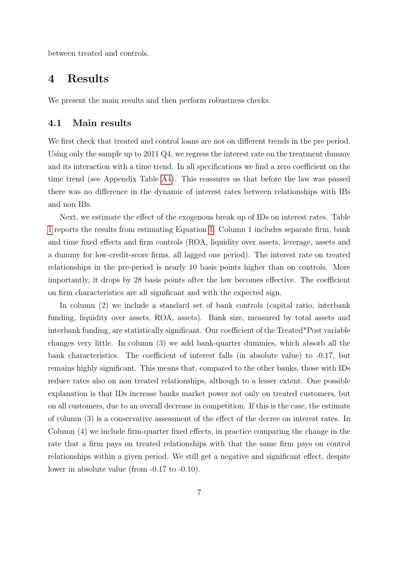between treated and controls.

## <span id="page-8-0"></span>4 Results

We present the main results and then perform robustness checks.

#### 4.1 Main results

We first check that treated and control loans are not on different trends in the pre period. Using only the sample up to 2011 Q4, we regress the interest rate on the treatment dummy and its interaction with a time trend. In all specifications we find a zero coefficient on the time trend (see Appendix Table [A4\)](#page-27-0). This reassures us that before the law was passed there was no difference in the dynamic of interest rates between relationships with IBs and non IBs.

Next, we estimate the effect of the exogenous break up of IDs on interest rates. Table [1](#page-19-0) reports the results from estimating Equation [1.](#page-6-1) Column 1 includes separate firm, bank and time fixed effects and firm controls (ROA, liquidity over assets, leverage, assets and a dummy for low-credit-score firms, all lagged one period). The interest rate on treated relationships in the pre-period is nearly 10 basis points higher than on controls. More importantly, it drops by 28 basis points after the law becomes effective. The coefficient on firm characteristics are all significant and with the expected sign.

In column (2) we include a standard set of bank controls (capital ratio, interbank funding, liquidity over assets, ROA, assets). Bank size, measured by total assets and interbank funding, are statistically significant. Our coefficient of the Treated\*Post variable changes very little. In column (3) we add bank-quarter dummies, which absorb all the bank characteristics. The coefficient of interest falls (in absolute value) to -0.17, but remains highly significant. This means that, compared to the other banks, those with IDs reduce rates also on non treated relationships, although to a lesser extent. One possible explanation is that IDs increase banks market power not only on treated customers, but on all customers, due to an overall decrease in competition. If this is the case, the estimate of column (3) is a conservative assessment of the effect of the decree on interest rates. In Column (4) we include firm-quarter fixed effects, in practice comparing the change in the rate that a firm pays on treated relationships with that the same firm pays on control relationships within a given period. We still get a negative and significant effect, despite lower in absolute value (from -0.17 to -0.10).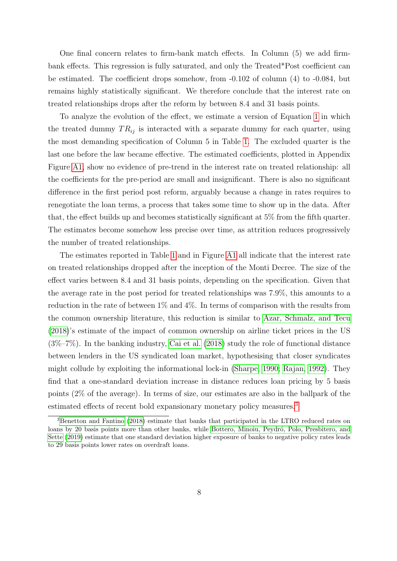One final concern relates to firm-bank match effects. In Column (5) we add firmbank effects. This regression is fully saturated, and only the Treated\*Post coefficient can be estimated. The coefficient drops somehow, from -0.102 of column (4) to -0.084, but remains highly statistically significant. We therefore conclude that the interest rate on treated relationships drops after the reform by between 8.4 and 31 basis points.

To analyze the evolution of the effect, we estimate a version of Equation [1](#page-6-1) in which the treated dummy  $TR_{ij}$  is interacted with a separate dummy for each quarter, using the most demanding specification of Column 5 in Table [1.](#page-19-0) The excluded quarter is the last one before the law became effective. The estimated coefficients, plotted in Appendix Figure [A1,](#page-23-0) show no evidence of pre-trend in the interest rate on treated relationship: all the coefficients for the pre-period are small and insignificant. There is also no significant difference in the first period post reform, arguably because a change in rates requires to renegotiate the loan terms, a process that takes some time to show up in the data. After that, the effect builds up and becomes statistically significant at 5% from the fifth quarter. The estimates become somehow less precise over time, as attrition reduces progressively the number of treated relationships.

The estimates reported in Table [1](#page-19-0) and in Figure [A1](#page-23-0) all indicate that the interest rate on treated relationships dropped after the inception of the Monti Decree. The size of the effect varies between 8.4 and 31 basis points, depending on the specification. Given that the average rate in the post period for treated relationships was 7.9%, this amounts to a reduction in the rate of between 1% and 4%. In terms of comparison with the results from the common ownership literature, this reduction is similar to [Azar, Schmalz, and Tecu](#page-16-1) [\(2018\)](#page-16-1)'s estimate of the impact of common ownership on airline ticket prices in the US (3%–7%). In the banking industry, [Cai et al.](#page-16-4) [\(2018\)](#page-16-4) study the role of functional distance between lenders in the US syndicated loan market, hypothesising that closer syndicates might collude by exploiting the informational lock-in [\(Sharpe, 1990;](#page-17-10) [Rajan, 1992\)](#page-17-11). They find that a one-standard deviation increase in distance reduces loan pricing by 5 basis points (2% of the average). In terms of size, our estimates are also in the ballpark of the estimated effects of recent bold expansionary monetary policy measures.<sup>[3](#page-9-0)</sup>

<span id="page-9-0"></span><sup>&</sup>lt;sup>3</sup>[Benetton and Fantino](#page-16-8) [\(2018\)](#page-16-8) estimate that banks that participated in the LTRO reduced rates on loans by 20 basis points more than other banks, while Bottero, Minoiu, Peydró, Polo, Presbitero, and [Sette](#page-16-9) [\(2019\)](#page-16-9) estimate that one standard deviation higher exposure of banks to negative policy rates leads to 29 basis points lower rates on overdraft loans.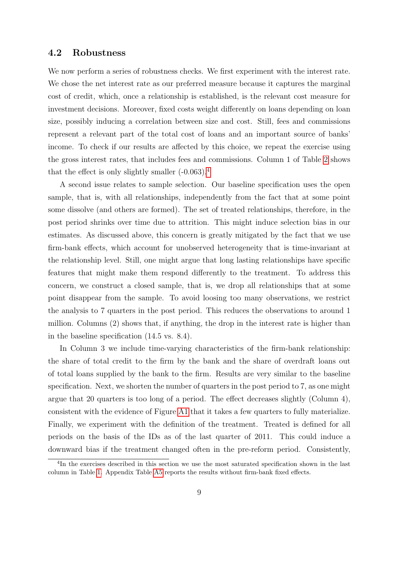#### 4.2 Robustness

We now perform a series of robustness checks. We first experiment with the interest rate. We chose the net interest rate as our preferred measure because it captures the marginal cost of credit, which, once a relationship is established, is the relevant cost measure for investment decisions. Moreover, fixed costs weight differently on loans depending on loan size, possibly inducing a correlation between size and cost. Still, fees and commissions represent a relevant part of the total cost of loans and an important source of banks' income. To check if our results are affected by this choice, we repeat the exercise using the gross interest rates, that includes fees and commissions. Column 1 of Table [2](#page-20-0) shows that the effect is only slightly smaller  $(-0.063)$ .<sup>[4](#page-10-0)</sup>

A second issue relates to sample selection. Our baseline specification uses the open sample, that is, with all relationships, independently from the fact that at some point some dissolve (and others are formed). The set of treated relationships, therefore, in the post period shrinks over time due to attrition. This might induce selection bias in our estimates. As discussed above, this concern is greatly mitigated by the fact that we use firm-bank effects, which account for unobserved heterogeneity that is time-invariant at the relationship level. Still, one might argue that long lasting relationships have specific features that might make them respond differently to the treatment. To address this concern, we construct a closed sample, that is, we drop all relationships that at some point disappear from the sample. To avoid loosing too many observations, we restrict the analysis to 7 quarters in the post period. This reduces the observations to around 1 million. Columns (2) shows that, if anything, the drop in the interest rate is higher than in the baseline specification (14.5 vs. 8.4).

In Column 3 we include time-varying characteristics of the firm-bank relationship: the share of total credit to the firm by the bank and the share of overdraft loans out of total loans supplied by the bank to the firm. Results are very similar to the baseline specification. Next, we shorten the number of quarters in the post period to 7, as one might argue that 20 quarters is too long of a period. The effect decreases slightly (Column 4), consistent with the evidence of Figure [A1](#page-23-0) that it takes a few quarters to fully materialize. Finally, we experiment with the definition of the treatment. Treated is defined for all periods on the basis of the IDs as of the last quarter of 2011. This could induce a downward bias if the treatment changed often in the pre-reform period. Consistently,

<span id="page-10-0"></span><sup>&</sup>lt;sup>4</sup>In the exercises described in this section we use the most saturated specification shown in the last column in Table [1.](#page-19-0) Appendix Table [A5](#page-28-0) reports the results without firm-bank fixed effects.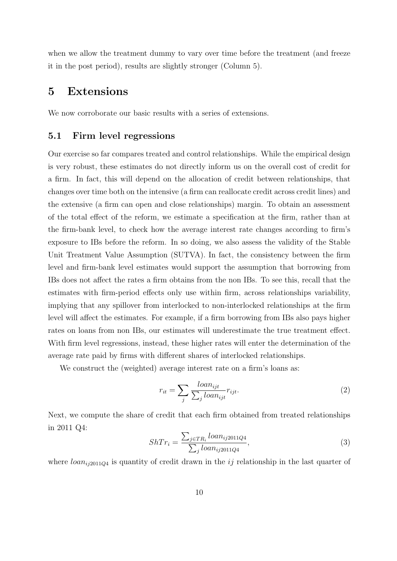when we allow the treatment dummy to vary over time before the treatment (and freeze it in the post period), results are slightly stronger (Column 5).

### <span id="page-11-0"></span>5 Extensions

We now corroborate our basic results with a series of extensions.

#### 5.1 Firm level regressions

Our exercise so far compares treated and control relationships. While the empirical design is very robust, these estimates do not directly inform us on the overall cost of credit for a firm. In fact, this will depend on the allocation of credit between relationships, that changes over time both on the intensive (a firm can reallocate credit across credit lines) and the extensive (a firm can open and close relationships) margin. To obtain an assessment of the total effect of the reform, we estimate a specification at the firm, rather than at the firm-bank level, to check how the average interest rate changes according to firm's exposure to IBs before the reform. In so doing, we also assess the validity of the Stable Unit Treatment Value Assumption (SUTVA). In fact, the consistency between the firm level and firm-bank level estimates would support the assumption that borrowing from IBs does not affect the rates a firm obtains from the non IBs. To see this, recall that the estimates with firm-period effects only use within firm, across relationships variability, implying that any spillover from interlocked to non-interlocked relationships at the firm level will affect the estimates. For example, if a firm borrowing from IBs also pays higher rates on loans from non IBs, our estimates will underestimate the true treatment effect. With firm level regressions, instead, these higher rates will enter the determination of the average rate paid by firms with different shares of interlocked relationships.

We construct the (weighted) average interest rate on a firm's loans as:

$$
r_{it} = \sum_{j} \frac{loan_{ijt}}{\sum_{j} loan_{ijt}} r_{ijt}.
$$
\n(2)

Next, we compute the share of credit that each firm obtained from treated relationships in 2011 Q4:

<span id="page-11-1"></span>
$$
ShTr_{i} = \frac{\sum_{j \in TR_{i}} loan_{ij2011Q4}}{\sum_{j} loan_{ij2011Q4}},
$$
\n(3)

where  $loan_{i/2011Q4}$  is quantity of credit drawn in the ij relationship in the last quarter of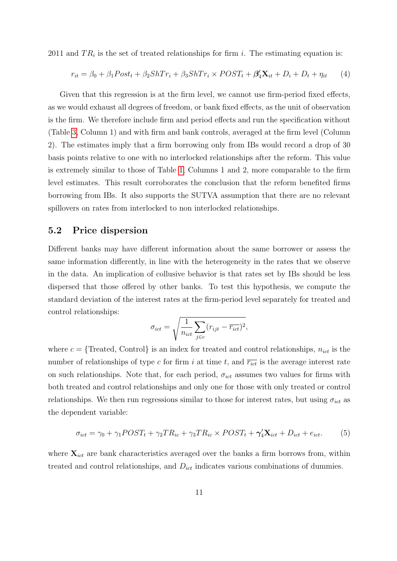2011 and  $TR_i$  is the set of treated relationships for firm i. The estimating equation is:

$$
r_{it} = \beta_0 + \beta_1 Post_t + \beta_2 ShTr_i + \beta_3 ShTr_i \times POST_t + \beta_4' \mathbf{X}_{it} + D_i + D_t + \eta_{it} \tag{4}
$$

Given that this regression is at the firm level, we cannot use firm-period fixed effects, as we would exhaust all degrees of freedom, or bank fixed effects, as the unit of observation is the firm. We therefore include firm and period effects and run the specification without (Table [3,](#page-21-0) Column 1) and with firm and bank controls, averaged at the firm level (Column 2). The estimates imply that a firm borrowing only from IBs would record a drop of 30 basis points relative to one with no interlocked relationships after the reform. This value is extremely similar to those of Table [1,](#page-19-0) Columns 1 and 2, more comparable to the firm level estimates. This result corroborates the conclusion that the reform benefited firms borrowing from IBs. It also supports the SUTVA assumption that there are no relevant spillovers on rates from interlocked to non interlocked relationships.

#### 5.2 Price dispersion

Different banks may have different information about the same borrower or assess the same information differently, in line with the heterogeneity in the rates that we observe in the data. An implication of collusive behavior is that rates set by IBs should be less dispersed that those offered by other banks. To test this hypothesis, we compute the standard deviation of the interest rates at the firm-period level separately for treated and control relationships:

$$
\sigma_{ict} = \sqrt{\frac{1}{n_{ict}} \sum_{j \in c} (r_{ijt} - \overline{r_{ict}})^2},
$$

where  $c = \{ \text{Treated}, \text{Control} \}$  is an index for treated and control relationships,  $n_{ict}$  is the number of relationships of type c for firm i at time t, and  $\overline{r_{ict}}$  is the average interest rate on such relationships. Note that, for each period,  $\sigma_{ict}$  assumes two values for firms with both treated and control relationships and only one for those with only treated or control relationships. We then run regressions similar to those for interest rates, but using  $\sigma_{ict}$  as the dependent variable:

$$
\sigma_{ict} = \gamma_0 + \gamma_1 POST_t + \gamma_2 TR_{ic} + \gamma_3 TR_{ic} \times POST_t + \gamma_4' \mathbf{X}_{ict} + D_{ict} + e_{ict}.
$$
 (5)

where  $\mathbf{X}_{ict}$  are bank characteristics averaged over the banks a firm borrows from, within treated and control relationships, and  $D_{ict}$  indicates various combinations of dummies.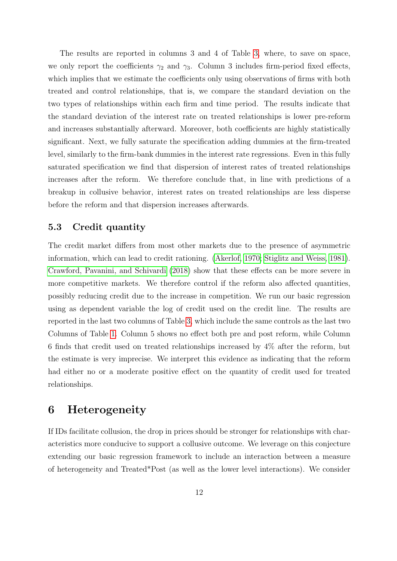The results are reported in columns 3 and 4 of Table [3,](#page-21-0) where, to save on space, we only report the coefficients  $\gamma_2$  and  $\gamma_3$ . Column 3 includes firm-period fixed effects, which implies that we estimate the coefficients only using observations of firms with both treated and control relationships, that is, we compare the standard deviation on the two types of relationships within each firm and time period. The results indicate that the standard deviation of the interest rate on treated relationships is lower pre-reform and increases substantially afterward. Moreover, both coefficients are highly statistically significant. Next, we fully saturate the specification adding dummies at the firm-treated level, similarly to the firm-bank dummies in the interest rate regressions. Even in this fully saturated specification we find that dispersion of interest rates of treated relationships increases after the reform. We therefore conclude that, in line with predictions of a breakup in collusive behavior, interest rates on treated relationships are less disperse before the reform and that dispersion increases afterwards.

#### 5.3 Credit quantity

The credit market differs from most other markets due to the presence of asymmetric information, which can lead to credit rationing. [\(Akerlof, 1970;](#page-16-10) [Stiglitz and Weiss, 1981\)](#page-17-12). [Crawford, Pavanini, and Schivardi](#page-16-11) [\(2018\)](#page-16-11) show that these effects can be more severe in more competitive markets. We therefore control if the reform also affected quantities. possibly reducing credit due to the increase in competition. We run our basic regression using as dependent variable the log of credit used on the credit line. The results are reported in the last two columns of Table [3,](#page-21-0) which include the same controls as the last two Columns of Table [1.](#page-19-0) Column 5 shows no effect both pre and post reform, while Column 6 finds that credit used on treated relationships increased by 4% after the reform, but the estimate is very imprecise. We interpret this evidence as indicating that the reform had either no or a moderate positive effect on the quantity of credit used for treated relationships.

### <span id="page-13-0"></span>6 Heterogeneity

If IDs facilitate collusion, the drop in prices should be stronger for relationships with characteristics more conducive to support a collusive outcome. We leverage on this conjecture extending our basic regression framework to include an interaction between a measure of heterogeneity and Treated\*Post (as well as the lower level interactions). We consider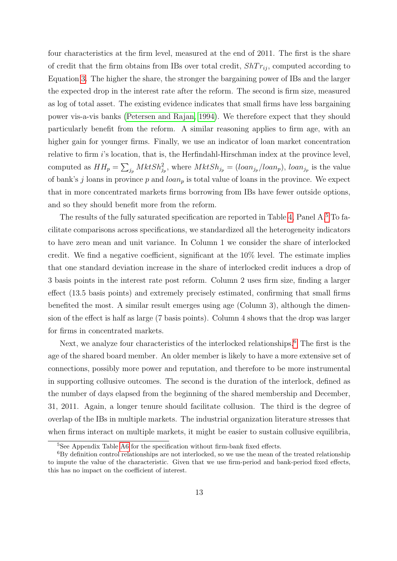four characteristics at the firm level, measured at the end of 2011. The first is the share of credit that the firm obtains from IBs over total credit,  $ShTr_{ij}$ , computed according to Equation [3.](#page-11-1) The higher the share, the stronger the bargaining power of IBs and the larger the expected drop in the interest rate after the reform. The second is firm size, measured as log of total asset. The existing evidence indicates that small firms have less bargaining power vis-a-vis banks [\(Petersen and Rajan, 1994\)](#page-17-13). We therefore expect that they should particularly benefit from the reform. A similar reasoning applies to firm age, with an higher gain for younger firms. Finally, we use an indicator of loan market concentration relative to firm i's location, that is, the Herfindahl-Hirschman index at the province level, computed as  $HH_p = \sum_{j_p} MktSh_{j_p}^2$ , where  $MktSh_{j_p} = (loan_{j_p}/loan_p)$ ,  $loan_{j_p}$  is the value of bank's j loans in province p and  $\text{loan}_p$  is total value of loans in the province. We expect that in more concentrated markets firms borrowing from IBs have fewer outside options, and so they should benefit more from the reform.

The results of the fully saturated specification are reported in Table [4,](#page-22-0) Panel A.[5](#page-14-0) To facilitate comparisons across specifications, we standardized all the heterogeneity indicators to have zero mean and unit variance. In Column 1 we consider the share of interlocked credit. We find a negative coefficient, significant at the 10% level. The estimate implies that one standard deviation increase in the share of interlocked credit induces a drop of 3 basis points in the interest rate post reform. Column 2 uses firm size, finding a larger effect (13.5 basis points) and extremely precisely estimated, confirming that small firms benefited the most. A similar result emerges using age (Column 3), although the dimension of the effect is half as large (7 basis points). Column 4 shows that the drop was larger for firms in concentrated markets.

Next, we analyze four characteristics of the interlocked relationships.<sup>[6](#page-14-1)</sup> The first is the age of the shared board member. An older member is likely to have a more extensive set of connections, possibly more power and reputation, and therefore to be more instrumental in supporting collusive outcomes. The second is the duration of the interlock, defined as the number of days elapsed from the beginning of the shared membership and December, 31, 2011. Again, a longer tenure should facilitate collusion. The third is the degree of overlap of the IBs in multiple markets. The industrial organization literature stresses that when firms interact on multiple markets, it might be easier to sustain collusive equilibria,

<span id="page-14-1"></span><span id="page-14-0"></span><sup>5</sup>See Appendix Table [A6](#page-29-0) for the specification without firm-bank fixed effects.

 ${}^{6}$ By definition control relationships are not interlocked, so we use the mean of the treated relationship to impute the value of the characteristic. Given that we use firm-period and bank-period fixed effects, this has no impact on the coefficient of interest.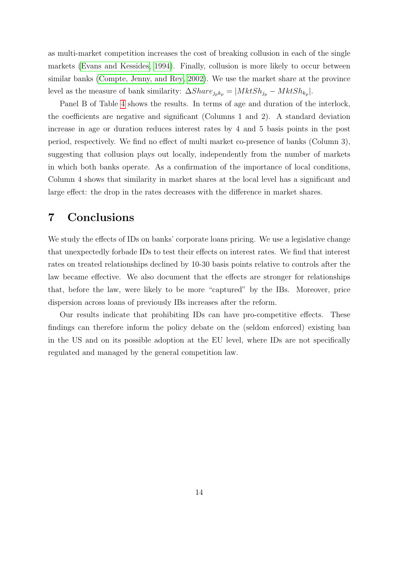as multi-market competition increases the cost of breaking collusion in each of the single markets [\(Evans and Kessides, 1994\)](#page-17-14). Finally, collusion is more likely to occur between similar banks [\(Compte, Jenny, and Rey, 2002\)](#page-16-12). We use the market share at the province level as the measure of bank similarity:  $\Delta Share_{j_p k_p} = |MktSh_{j_p} - MktSh_{k_p}|.$ 

Panel B of Table [4](#page-22-0) shows the results. In terms of age and duration of the interlock, the coefficients are negative and significant (Columns 1 and 2). A standard deviation increase in age or duration reduces interest rates by 4 and 5 basis points in the post period, respectively. We find no effect of multi market co-presence of banks (Column 3), suggesting that collusion plays out locally, independently from the number of markets in which both banks operate. As a confirmation of the importance of local conditions, Column 4 shows that similarity in market shares at the local level has a significant and large effect: the drop in the rates decreases with the difference in market shares.

## <span id="page-15-0"></span>7 Conclusions

We study the effects of IDs on banks' corporate loans pricing. We use a legislative change that unexpectedly forbade IDs to test their effects on interest rates. We find that interest rates on treated relationships declined by 10-30 basis points relative to controls after the law became effective. We also document that the effects are stronger for relationships that, before the law, were likely to be more "captured" by the IBs. Moreover, price dispersion across loans of previously IBs increases after the reform.

Our results indicate that prohibiting IDs can have pro-competitive effects. These findings can therefore inform the policy debate on the (seldom enforced) existing ban in the US and on its possible adoption at the EU level, where IDs are not specifically regulated and managed by the general competition law.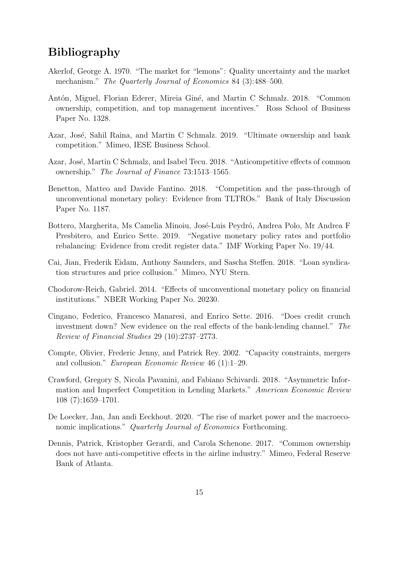# Bibliography

- <span id="page-16-10"></span>Akerlof, George A. 1970. "The market for "lemons": Quality uncertainty and the market mechanism." *The Quarterly Journal of Economics* 84 (3):488–500.
- <span id="page-16-2"></span>Antón, Miguel, Florian Ederer, Mireia Giné, and Martin C Schmalz. 2018. "Common ownership, competition, and top management incentives." Ross School of Business Paper No. 1328.
- <span id="page-16-3"></span>Azar, José, Sahil Raina, and Martin C Schmalz. 2019. "Ultimate ownership and bank competition." Mimeo, IESE Business School.
- <span id="page-16-1"></span>Azar, José, Martin C Schmalz, and Isabel Tecu. 2018. "Anticompetitive effects of common ownership." The Journal of Finance 73:1513–1565.
- <span id="page-16-8"></span>Benetton, Matteo and Davide Fantino. 2018. "Competition and the pass-through of unconventional monetary policy: Evidence from TLTROs." Bank of Italy Discussion Paper No. 1187.
- <span id="page-16-9"></span>Bottero, Margherita, Ms Camelia Minoiu, José-Luis Peydró, Andrea Polo, Mr Andrea F Presbitero, and Enrico Sette. 2019. "Negative monetary policy rates and portfolio rebalancing: Evidence from credit register data." IMF Working Paper No. 19/44.
- <span id="page-16-4"></span>Cai, Jian, Frederik Eidam, Anthony Saunders, and Sascha Steffen. 2018. "Loan syndication structures and price collusion." Mimeo, NYU Stern.
- <span id="page-16-6"></span>Chodorow-Reich, Gabriel. 2014. "Effects of unconventional monetary policy on financial institutions." NBER Working Paper No. 20230.
- <span id="page-16-7"></span>Cingano, Federico, Francesco Manaresi, and Enrico Sette. 2016. "Does credit crunch investment down? New evidence on the real effects of the bank-lending channel." The Review of Financial Studies 29 (10):2737–2773.
- <span id="page-16-12"></span>Compte, Olivier, Frederic Jenny, and Patrick Rey. 2002. "Capacity constraints, mergers and collusion." European Economic Review 46 (1):1–29.
- <span id="page-16-11"></span>Crawford, Gregory S, Nicola Pavanini, and Fabiano Schivardi. 2018. "Asymmetric Information and Imperfect Competition in Lending Markets." American Economic Review 108 (7):1659–1701.
- <span id="page-16-0"></span>De Loecker, Jan, Jan andi Eeckhout. 2020. "The rise of market power and the macroeconomic implications." Quarterly Journal of Economics Forthcoming.
- <span id="page-16-5"></span>Dennis, Patrick, Kristopher Gerardi, and Carola Schenone. 2017. "Common ownership does not have anti-competitive effects in the airline industry." Mimeo, Federal Reserve Bank of Atlanta.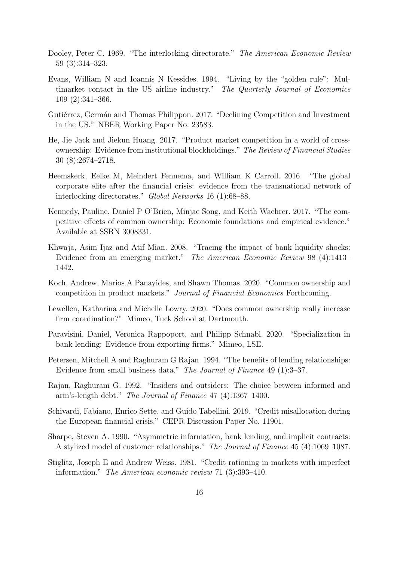- <span id="page-17-5"></span>Dooley, Peter C. 1969. "The interlocking directorate." The American Economic Review 59 (3):314–323.
- <span id="page-17-14"></span>Evans, William N and Ioannis N Kessides. 1994. "Living by the "golden rule": Multimarket contact in the US airline industry." The Quarterly Journal of Economics 109 (2):341–366.
- <span id="page-17-0"></span>Gutiérrez, Germán and Thomas Philippon. 2017. "Declining Competition and Investment in the US." NBER Working Paper No. 23583.
- <span id="page-17-1"></span>He, Jie Jack and Jiekun Huang. 2017. "Product market competition in a world of crossownership: Evidence from institutional blockholdings." The Review of Financial Studies 30 (8):2674–2718.
- <span id="page-17-6"></span>Heemskerk, Eelke M, Meindert Fennema, and William K Carroll. 2016. "The global corporate elite after the financial crisis: evidence from the transnational network of interlocking directorates." Global Networks 16 (1):68–88.
- <span id="page-17-3"></span>Kennedy, Pauline, Daniel P O'Brien, Minjae Song, and Keith Waehrer. 2017. "The competitive effects of common ownership: Economic foundations and empirical evidence." Available at SSRN 3008331.
- <span id="page-17-8"></span>Khwaja, Asim Ijaz and Atif Mian. 2008. "Tracing the impact of bank liquidity shocks: Evidence from an emerging market." The American Economic Review 98 (4):1413– 1442.
- <span id="page-17-4"></span>Koch, Andrew, Marios A Panayides, and Shawn Thomas. 2020. "Common ownership and competition in product markets." Journal of Financial Economics Forthcoming.
- <span id="page-17-2"></span>Lewellen, Katharina and Michelle Lowry. 2020. "Does common ownership really increase firm coordination?" Mimeo, Tuck School at Dartmouth.
- <span id="page-17-9"></span>Paravisini, Daniel, Veronica Rappoport, and Philipp Schnabl. 2020. "Specialization in bank lending: Evidence from exporting firms." Mimeo, LSE.
- <span id="page-17-13"></span>Petersen, Mitchell A and Raghuram G Rajan. 1994. "The benefits of lending relationships: Evidence from small business data." The Journal of Finance 49 (1):3–37.
- <span id="page-17-11"></span>Rajan, Raghuram G. 1992. "Insiders and outsiders: The choice between informed and arm's-length debt." The Journal of Finance 47 (4):1367–1400.
- <span id="page-17-7"></span>Schivardi, Fabiano, Enrico Sette, and Guido Tabellini. 2019. "Credit misallocation during the European financial crisis." CEPR Discussion Paper No. 11901.
- <span id="page-17-10"></span>Sharpe, Steven A. 1990. "Asymmetric information, bank lending, and implicit contracts: A stylized model of customer relationships." The Journal of Finance 45 (4):1069–1087.
- <span id="page-17-12"></span>Stiglitz, Joseph E and Andrew Weiss. 1981. "Credit rationing in markets with imperfect information." The American economic review 71 (3):393–410.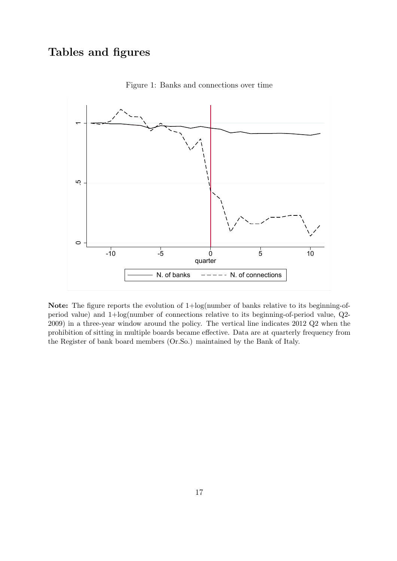# Tables and figures



<span id="page-18-0"></span>Figure 1: Banks and connections over time

Note: The figure reports the evolution of  $1 + \log(\text{number of banks relative to its beginning-of-})$ period value) and 1+log(number of connections relative to its beginning-of-period value, Q2- 2009) in a three-year window around the policy. The vertical line indicates 2012 Q2 when the prohibition of sitting in multiple boards became effective. Data are at quarterly frequency from the Register of bank board members (Or.So.) maintained by the Bank of Italy.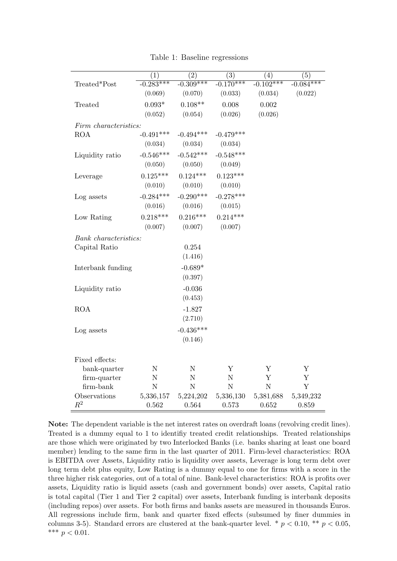|                       |                    |                    |                    | (4)         |                    |
|-----------------------|--------------------|--------------------|--------------------|-------------|--------------------|
| Treated*Post          | (1)<br>$-0.283***$ | (2)<br>$-0.309***$ | (3)<br>$-0.170***$ | $-0.102***$ | (5)<br>$-0.084***$ |
|                       | (0.069)            | (0.070)            | (0.033)            | (0.034)     | (0.022)            |
|                       |                    |                    |                    |             |                    |
| Treated               | $0.093*$           | $0.108**$          | 0.008              | $0.002\,$   |                    |
|                       | (0.052)            | (0.054)            | (0.026)            | (0.026)     |                    |
| Firm characteristics: |                    |                    |                    |             |                    |
| <b>ROA</b>            | $-0.491***$        | $-0.494***$        | $-0.479***$        |             |                    |
|                       | (0.034)            | (0.034)            | (0.034)            |             |                    |
| Liquidity ratio       | $-0.546***$        | $-0.542***$        | $-0.548***$        |             |                    |
|                       | (0.050)            | (0.050)            | (0.049)            |             |                    |
| Leverage              | $0.125***$         | $0.124***$         | $0.123***$         |             |                    |
|                       | (0.010)            | (0.010)            | (0.010)            |             |                    |
| Log assets            | $-0.284***$        | $-0.290***$        | $-0.278***$        |             |                    |
|                       | (0.016)            | (0.016)            | (0.015)            |             |                    |
| Low Rating            | $0.218***$         | $0.216***$         | $0.214***$         |             |                    |
|                       | (0.007)            | (0.007)            | (0.007)            |             |                    |
| Bank characteristics: |                    |                    |                    |             |                    |
| Capital Ratio         |                    | 0.254              |                    |             |                    |
|                       |                    | (1.416)            |                    |             |                    |
| Interbank funding     |                    | $-0.689*$          |                    |             |                    |
|                       |                    | (0.397)            |                    |             |                    |
| Liquidity ratio       |                    | $-0.036$           |                    |             |                    |
|                       |                    | (0.453)            |                    |             |                    |
| ROA                   |                    | $-1.827$           |                    |             |                    |
|                       |                    | (2.710)            |                    |             |                    |
| Log assets            |                    | $-0.436***$        |                    |             |                    |
|                       |                    | (0.146)            |                    |             |                    |
|                       |                    |                    |                    |             |                    |
| Fixed effects:        |                    |                    |                    |             |                    |
| bank-quarter          | $\mathbf N$        | $\mathbf N$        | Y                  | Y           | Y                  |
| firm-quarter          | N                  | N                  | $\mathbf N$        | Y           | Y                  |
| firm-bank             | $\overline{N}$     | N                  | $\overline{N}$     | $\mathbf N$ | Y                  |
| Observations          | 5,336,157          | 5,224,202          | 5,336,130          | 5,381,688   | 5,349,232          |
| $R^2$                 | 0.562              | 0.564              | 0.573              | 0.652       | 0.859              |

<span id="page-19-0"></span>Table 1: Baseline regressions

Note: The dependent variable is the net interest rates on overdraft loans (revolving credit lines). Treated is a dummy equal to 1 to identifiy treated credit relationships. Treated relationships are those which were originated by two Interlocked Banks (i.e. banks sharing at least one board member) lending to the same firm in the last quarter of 2011. Firm-level characteristics: ROA is EBITDA over Assets, Liquidity ratio is liquidity over assets, Leverage is long term debt over long term debt plus equity, Low Rating is a dummy equal to one for firms with a score in the three higher risk categories, out of a total of nine. Bank-level characteristics: ROA is profits over assets, Liquidity ratio is liquid assets (cash and government bonds) over assets, Capital ratio is total capital (Tier 1 and Tier 2 capital) over assets, Interbank funding is interbank deposits (including repos) over assets. For both firms and banks assets are measured in thousands Euros. All regressions include firm, bank and quarter fixed effects (subsumed by finer dummies in columns 3-5). Standard errors are clustered at the bank-quarter level. \*  $p < 0.10$ , \*\*  $p < 0.05$ , \*\*\*  $p < 0.01$ .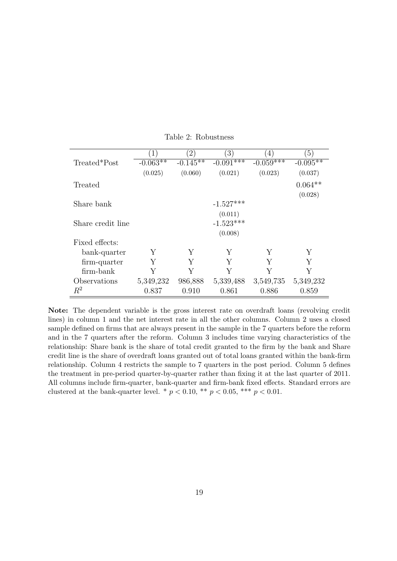|                   | $\mathbf{1}$ | $^{'}2)$   | $\left(3\right)$ | 4)          | $\left(5\right)$ |
|-------------------|--------------|------------|------------------|-------------|------------------|
| Treated*Post      | $-0.063**$   | $-0.145**$ | $-0.091***$      | $-0.059***$ | $-0.095**$       |
|                   | (0.025)      | (0.060)    | (0.021)          | (0.023)     | (0.037)          |
| Treated           |              |            |                  |             | $0.064**$        |
|                   |              |            |                  |             | (0.028)          |
| Share bank        |              |            | $-1.527***$      |             |                  |
|                   |              |            | (0.011)          |             |                  |
| Share credit line |              |            | $-1.523***$      |             |                  |
|                   |              |            | (0.008)          |             |                  |
| Fixed effects:    |              |            |                  |             |                  |
| bank-quarter      | Y            | Υ          | Y                | Υ           | Υ                |
| firm-quarter      | Y            | Y          | Y                | Y           | Y                |
| firm-bank         | Y            |            | Y                | Y           | Y                |
| Observations      | 5,349,232    | 986,888    | 5,339,488        | 3,549,735   | 5,349,232        |
| $R^2$             | 0.837        | 0.910      | 0.861            | 0.886       | 0.859            |

<span id="page-20-0"></span>Table 2: Robustness

Note: The dependent variable is the gross interest rate on overdraft loans (revolving credit lines) in column 1 and the net interest rate in all the other columns. Column 2 uses a closed sample defined on firms that are always present in the sample in the 7 quarters before the reform and in the 7 quarters after the reform. Column 3 includes time varying characteristics of the relationship: Share bank is the share of total credit granted to the firm by the bank and Share credit line is the share of overdraft loans granted out of total loans granted within the bank-firm relationship. Column 4 restricts the sample to 7 quarters in the post period. Column 5 defines the treatment in pre-period quarter-by-quarter rather than fixing it at the last quarter of 2011. All columns include firm-quarter, bank-quarter and firm-bank fixed effects. Standard errors are clustered at the bank-quarter level. \*  $p < 0.10$ , \*\*  $p < 0.05$ , \*\*\*  $p < 0.01$ .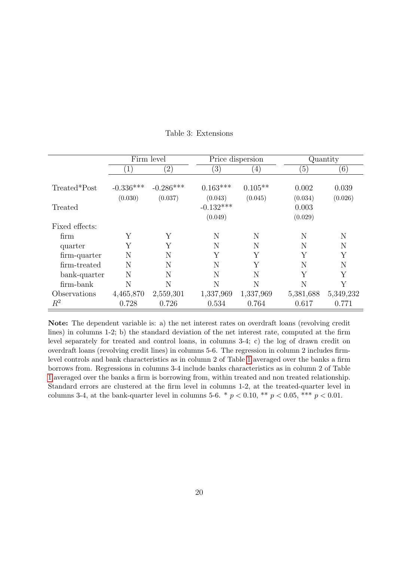|                | Firm level<br>Price dispersion |                   |             | Quantity  |                  |           |
|----------------|--------------------------------|-------------------|-------------|-----------|------------------|-----------|
|                | $\left(1\right)$               | $\left( 2\right)$ | (3)         | (4)       | $\left(5\right)$ | (6)       |
|                |                                |                   |             |           |                  |           |
| Treated*Post   | $-0.336***$                    | $-0.286***$       | $0.163***$  | $0.105**$ | 0.002            | 0.039     |
|                | (0.030)                        | (0.037)           | (0.043)     | (0.045)   | (0.034)          | (0.026)   |
| Treated        |                                |                   | $-0.132***$ |           | 0.003            |           |
|                |                                |                   | (0.049)     |           | (0.029)          |           |
| Fixed effects: |                                |                   |             |           |                  |           |
| firm           | Y                              | Y                 | N           | N         | N                | N         |
| quarter        | Y                              | Υ                 | N           | N         | N                | N         |
| firm-quarter   | N                              | N                 | Y           | Υ         | Y                | Υ         |
| firm-treated   | N                              | N                 | N           | Y         | N                | N         |
| bank-quarter   | N                              | N                 | N           | N         | Y                | Υ         |
| firm-bank      | N                              | N                 | N           | N         | N                | Y         |
| Observations   | 4,465,870                      | 2,559,301         | 1,337,969   | 1,337,969 | 5,381,688        | 5,349,232 |
| $\,R^2$        | 0.728                          | 0.726             | 0.534       | 0.764     | 0.617            | 0.771     |

#### <span id="page-21-0"></span>Table 3: Extensions

Note: The dependent variable is: a) the net interest rates on overdraft loans (revolving credit lines) in columns 1-2; b) the standard deviation of the net interest rate, computed at the firm level separately for treated and control loans, in columns 3-4; c) the log of drawn credit on overdraft loans (revolving credit lines) in columns 5-6. The regression in column 2 includes firmlevel controls and bank characteristics as in column 2 of Table [1](#page-19-0) averaged over the banks a firm borrows from. Regressions in columns 3-4 include banks characteristics as in column 2 of Table [1](#page-19-0) averaged over the banks a firm is borrowing from, within treated and non treated relationship. Standard errors are clustered at the firm level in columns 1-2, at the treated-quarter level in columns 3-4, at the bank-quarter level in columns 5-6. \*  $p < 0.10$ , \*\*  $p < 0.05$ , \*\*\*  $p < 0.01$ .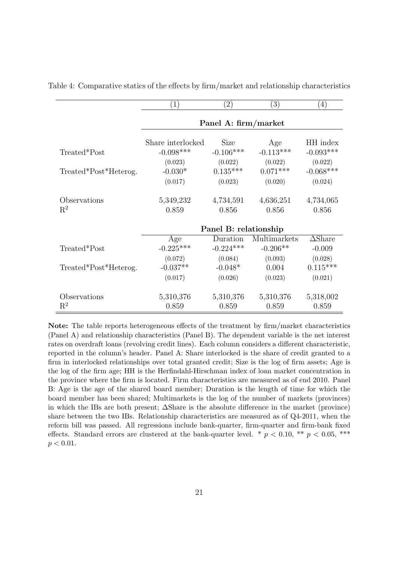<span id="page-22-0"></span>

|                       | $\left( 1\right)$     | $\left( 2\right)$    | $\left( 3\right)$ | (4)               |  |  |
|-----------------------|-----------------------|----------------------|-------------------|-------------------|--|--|
|                       |                       | Panel A: firm/market |                   |                   |  |  |
|                       | Share interlocked     | Size                 | Age               | HH index          |  |  |
| Treated*Post          | $-0.098***$           | $-0.106***$          | $-0.113***$       | $-0.093***$       |  |  |
|                       | (0.023)               | (0.022)              | (0.022)           | (0.022)           |  |  |
| Treated*Post*Heterog. | $-0.030*$             | $0.135***$           | $0.071***$        | $-0.068***$       |  |  |
|                       | (0.017)               | (0.023)              | (0.020)           | (0.024)           |  |  |
| Observations          | 5,349,232             | 4,734,591            | 4,636,251         | 4,734,065         |  |  |
| $\mathbf{R}^2$        | 0.859                 | 0.856                | 0.856             | 0.856             |  |  |
|                       | Panel B: relationship |                      |                   |                   |  |  |
|                       | Age                   | Duration             | Multimarkets      | $\triangle$ Share |  |  |
| Treated*Post          | $-0.225***$           | $-0.224***$          | $-0.206**$        | $-0.009$          |  |  |
|                       | (0.072)               | (0.084)              | (0.093)           | (0.028)           |  |  |
| Treated*Post*Heterog. | $-0.037**$            | $-0.048*$            | 0.004             | $0.115***$        |  |  |
|                       | (0.017)               | (0.026)              | (0.023)           | (0.021)           |  |  |
| Observations          | 5,310,376             | 5,310,376            | 5,310,376         | 5,318,002         |  |  |
| $\mathrm{R}^2$        | 0.859                 | 0.859                | 0.859             | 0.859             |  |  |

Table 4: Comparative statics of the effects by firm/market and relationship characteristics

Note: The table reports heterogeneous effects of the treatment by firm/market characteristics (Panel A) and relationship characteristics (Panel B). The dependent variable is the net interest rates on overdraft loans (revolving credit lines). Each column considers a different characteristic, reported in the column's header. Panel A: Share interlocked is the share of credit granted to a firm in interlocked relationships over total granted credit; Size is the log of firm assets; Age is the log of the firm age; HH is the Herfindahl-Hirschman index of loan market concentration in the province where the firm is located. Firm characteristics are measured as of end 2010. Panel B: Age is the age of the shared board member; Duration is the length of time for which the board member has been shared; Multimarkets is the log of the number of markets (provinces) in which the IBs are both present; ∆Share is the absolute difference in the market (province) share between the two IBs. Relationship characteristics are measured as of Q4-2011, when the reform bill was passed. All regressions include bank-quarter, firm-quarter and firm-bank fixed effects. Standard errors are clustered at the bank-quarter level. \*  $p < 0.10$ , \*\*  $p < 0.05$ , \*\*\*  $p < 0.01$ .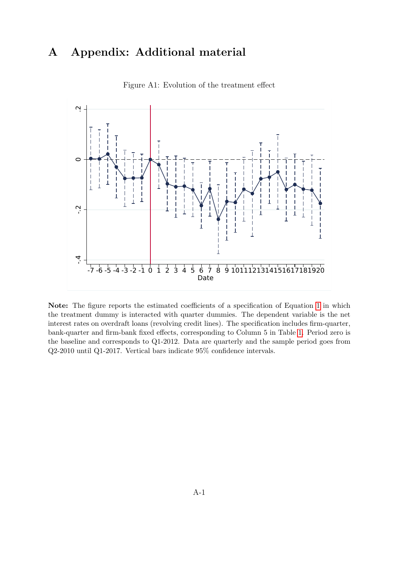# A Appendix: Additional material



<span id="page-23-0"></span>Figure A1: Evolution of the treatment effect

Note: The figure reports the estimated coefficients of a specification of Equation [1](#page-6-1) in which the treatment dummy is interacted with quarter dummies. The dependent variable is the net interest rates on overdraft loans (revolving credit lines). The specification includes firm-quarter, bank-quarter and firm-bank fixed effects, corresponding to Column 5 in Table [1.](#page-19-0) Period zero is the baseline and corresponds to Q1-2012. Data are quarterly and the sample period goes from Q2-2010 until Q1-2017. Vertical bars indicate 95% confidence intervals.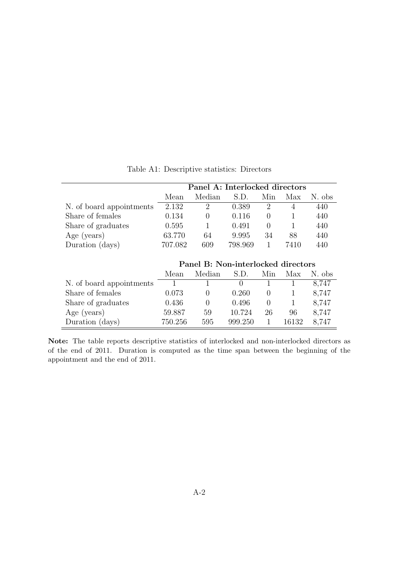|                          | Panel A: Interlocked directors |                |         |     |      |        |
|--------------------------|--------------------------------|----------------|---------|-----|------|--------|
|                          | Mean                           | Median         | S.D.    | Min | Max  | N. obs |
| N. of board appointments | 2.132                          | $\overline{2}$ | 0.389   |     |      | 440    |
| Share of females         | 0.134                          |                | 0.116   |     |      | 440    |
| Share of graduates       | 0.595                          |                | 0.491   |     |      | 440    |
| Age (years)              | 63.770                         | 64             | 9.995   | 34  | 88   | 440    |
| Duration (days)          | 707.082                        | 609            | 798.969 |     | 7410 | 440    |

<span id="page-24-0"></span>Table A1: Descriptive statistics: Directors

|                          | Panel B: Non-interlocked directors |                  |                  |          |       |        |  |
|--------------------------|------------------------------------|------------------|------------------|----------|-------|--------|--|
|                          | Mean                               | Median           | S.D.             | Min      | Max   | N. obs |  |
| N. of board appointments |                                    |                  | $\left( \right)$ |          |       | 8.747  |  |
| Share of females         | 0.073                              |                  | 0.260            | $\cup$   |       | 8,747  |  |
| Share of graduates       | 0.436                              | $\left( \right)$ | 0.496            | $\theta$ |       | 8,747  |  |
| Age (years)              | 59.887                             | 59               | 10.724           | 26       | 96    | 8.747  |  |
| Duration (days)          | 750.256                            | 595              | 999.250          |          | 16132 | 8.747  |  |

Note: The table reports descriptive statistics of interlocked and non-interlocked directors as of the end of 2011. Duration is computed as the time span between the beginning of the appointment and the end of 2011.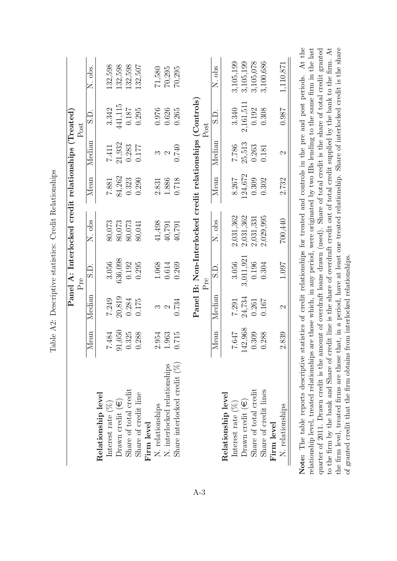<span id="page-25-0"></span>

|                                 |         |               | Pre       |                                                          |         |               | Post     |           |
|---------------------------------|---------|---------------|-----------|----------------------------------------------------------|---------|---------------|----------|-----------|
|                                 | Mean    | Median        | S.D.      | N. obs                                                   | Mean    | Median        | C.S      | N. obs    |
| Relationship level              |         |               |           |                                                          |         |               |          |           |
| Interest rate $(\%)$            | 7.484   | 7.249         | 3.056     | 80,073                                                   | 7.881   | 7.411         | 3.342    | 132,598   |
| Drawn credit $(\epsilon)$       | 91,050  | 20,819        | 636,098   | 80,073                                                   | 84,262  | 21,932        | 441,115  | 132,598   |
| Share of total credit           | 0.325   | 0.284         | 0.192     | 80,073                                                   | 0.323   | 0.283         | 0.187    | 132,598   |
| Share of credit line            | 0.288   | 0.175         | 0.295     | 80,041                                                   | 0.290   | 0.177         | 0.295    | 132,507   |
| Firm level                      |         |               |           |                                                          |         |               |          |           |
| N. relationships                | 2.954   | S             | 1.068     | 41,498                                                   | 2.831   | ಌ             | 0.976    | 71,580    |
| N. interlocked relationships    | 1.963   | 2             | 0.614     | 40,791                                                   | 1.886   | $\mathcal{C}$ | 0.626    | 70,295    |
| Share interlocked credit $(\%)$ | 0.715   | 0.734         | 0.269     | 40,791                                                   | 0.718   | 0.740         | 0.265    | 70,295    |
|                                 |         |               | Pre       | Panel B: Non-Interlocked credit relationships (Controls) |         |               | Post     |           |
|                                 | Mean    | Median        | S.D.      | N. obs                                                   | Mean    | Median        | S.D.     | N. obs    |
| Relationship level              |         |               |           |                                                          |         |               |          |           |
| Interest rate $(\%)$            | 7.647   | 7.291         | 3.056     | 2,031,362                                                | 8.267   | 7.786         | 3.340    | 3,105,199 |
| Drawn credit $(\epsilon)$       | 142,968 | 24,734        | 3,011,921 | 2,031,362                                                | 124,672 | 25,513        | 2,161,51 | 3,105,199 |
| Share of total credit           | 0.309   | 0.261         | 0.196     | 2,031,331                                                | 0.309   | 0.263         | 0.192    | 3,105,078 |
| Share of credit lines           | 0.288   | 0.167         | 0.304     | 2,029,995                                                | 0.302   | 0.181         | 0.308    | 3,100,686 |
| Firm level                      |         |               |           |                                                          |         |               |          |           |
| N. relationships                | 2.839   | $\mathcal{C}$ | 1.097     | 700,440                                                  | 2.732   | $\mathcal{C}$ | 186.0    | 1,110,871 |

Table A2: Descriptive statistics: Credit Relationships Table A2: Descriptive statistics: Credit Relationships **Note:** The table reports descriptive statistics of credit relationships for treated and controls in the pre and post periods. At the relationship level, treated relationships are those which, in any period, were originate the firm level, treated firms are those that, in a period, have at least one treated relationship. Share of interlocked credit is the share of granted credit that the firm obtains from interlocked relationships. the firm level, treated firms are those that, in a period, have at least one treated relationship. Share of interlocked credit is the share to the firm by the bank and Share of credit line is the share of overdraft credit out of total credit supplied by the bank to the firm. At of granted credit that the firm obtains from interlocked relationships.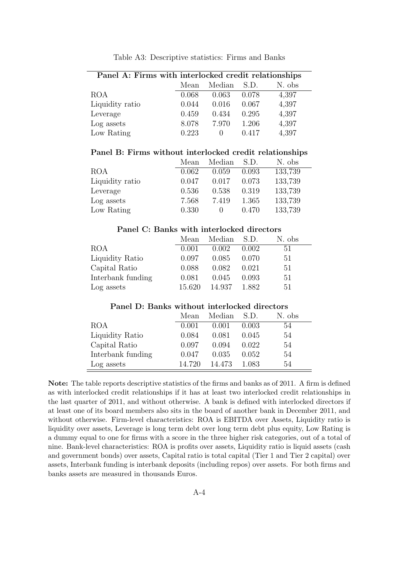| Panel A: Firms with interlocked credit relationships |       |        |       |        |  |  |  |  |
|------------------------------------------------------|-------|--------|-------|--------|--|--|--|--|
|                                                      | Mean  | Median | S.D.  | N. obs |  |  |  |  |
| <b>ROA</b>                                           | 0.068 | 0.063  | 0.078 | 4,397  |  |  |  |  |
| Liquidity ratio                                      | 0.044 | 0.016  | 0.067 | 4,397  |  |  |  |  |
| Leverage                                             | 0.459 | 0.434  | 0.295 | 4,397  |  |  |  |  |
| Log assets                                           | 8.078 | 7.970  | 1.206 | 4,397  |  |  |  |  |
| Low Rating                                           | 0.223 | $\cup$ | 0.417 | 4,397  |  |  |  |  |

<span id="page-26-0"></span>Table A3: Descriptive statistics: Firms and Banks

#### Panel B: Firms without interlocked credit relationships

|                 | Mean  | Median | S.D.  | N. obs  |
|-----------------|-------|--------|-------|---------|
| <b>ROA</b>      | 0.062 | 0.059  | 0.093 | 133,739 |
| Liquidity ratio | 0.047 | 0.017  | 0.073 | 133,739 |
| Leverage        | 0.536 | 0.538  | 0.319 | 133,739 |
| Log assets      | 7.568 | 7.419  | 1.365 | 133,739 |
| Low Rating      | 0.330 |        | 0.470 | 133,739 |

#### Panel C: Banks with interlocked directors

|                   | Mean   | Median S.D. |       | N. obs |
|-------------------|--------|-------------|-------|--------|
| <b>ROA</b>        | 0.001  | 0.002       | 0.002 | 51     |
| Liquidity Ratio   | 0.097  | 0.085       | 0.070 | 51     |
| Capital Ratio     | 0.088  | 0.082       | 0.021 | 51     |
| Interbank funding | 0.081  | 0.045       | 0.093 | 51     |
| Log assets        | 15.620 | 14.937      | 1.882 | 51     |

#### Panel D: Banks without interlocked directors

|                   | Mean   | Median S.D. |       | N. obs |
|-------------------|--------|-------------|-------|--------|
| <b>ROA</b>        | 0.001  | 0.001       | 0.003 | 54     |
| Liquidity Ratio   | 0.084  | 0.081       | 0.045 | 54     |
| Capital Ratio     | 0.097  | 0.094       | 0.022 | 54     |
| Interbank funding | 0.047  | 0.035       | 0.052 | 54     |
| Log assets        | 14.720 | 14.473      | 1.083 | 54     |

Note: The table reports descriptive statistics of the firms and banks as of 2011. A firm is defined as with interlocked credit relationships if it has at least two interlocked credit relationships in the last quarter of 2011, and without otherwise. A bank is defined with interlocked directors if at least one of its board members also sits in the board of another bank in December 2011, and without otherwise. Firm-level characteristics: ROA is EBITDA over Assets, Liquidity ratio is liquidity over assets, Leverage is long term debt over long term debt plus equity, Low Rating is a dummy equal to one for firms with a score in the three higher risk categories, out of a total of nine. Bank-level characteristics: ROA is profits over assets, Liquidity ratio is liquid assets (cash and government bonds) over assets, Capital ratio is total capital (Tier 1 and Tier 2 capital) over assets, Interbank funding is interbank deposits (including repos) over assets. For both firms and banks assets are measured in thousands Euros.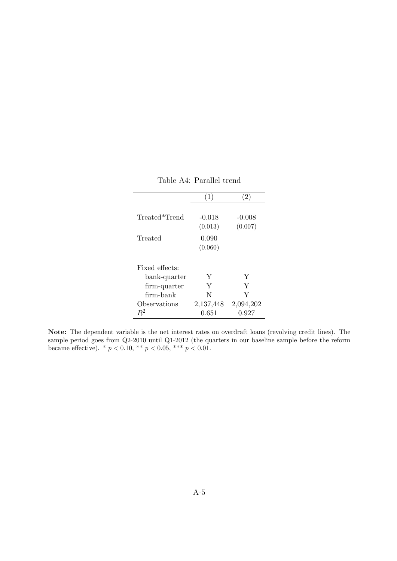| Treated*Trend  | $-0.018$<br>(0.013) | $-0.008$<br>(0.007) |
|----------------|---------------------|---------------------|
| Treated        | 0.090               |                     |
|                | (0.060)             |                     |
| Fixed effects: |                     |                     |
| bank-quarter   | Y                   | Y                   |
| firm-quarter   | Y                   | Y                   |
| firm-bank      | N                   | Y                   |
| Observations   | 2,137,448           | 2,094,202           |
| $R^2$          | 0.651               | 0.927               |

<span id="page-27-0"></span>Table A4: Parallel trend

Note: The dependent variable is the net interest rates on overdraft loans (revolving credit lines). The sample period goes from Q2-2010 until Q1-2012 (the quarters in our baseline sample before the reform became effective). \*  $p < 0.10$ , \*\*  $p < 0.05$ , \*\*\*  $p < 0.01$ .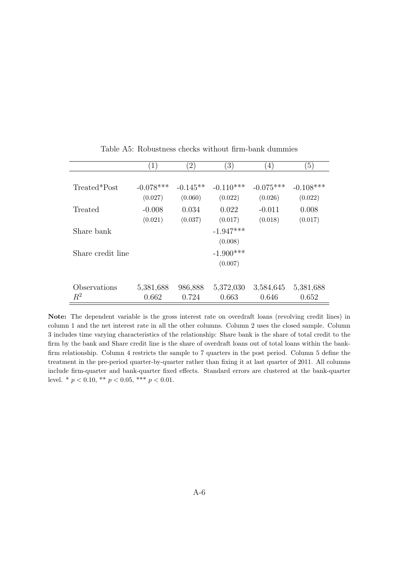|                   | $\left(1\right)$ | $\left( 2\right)$ | (3)         | $\left(4\right)$ | $\left(5\right)$ |
|-------------------|------------------|-------------------|-------------|------------------|------------------|
|                   |                  |                   |             |                  |                  |
| Treated*Post      | $-0.078***$      | $-0.145**$        | $-0.110***$ | $-0.075***$      | $-0.108***$      |
|                   | (0.027)          | (0.060)           | (0.022)     | (0.026)          | (0.022)          |
| Treated           | $-0.008$         | 0.034             | 0.022       | $-0.011$         | 0.008            |
|                   | (0.021)          | (0.037)           | (0.017)     | (0.018)          | (0.017)          |
| Share bank        |                  |                   | $-1.947***$ |                  |                  |
|                   |                  |                   | (0.008)     |                  |                  |
| Share credit line |                  |                   | $-1.900***$ |                  |                  |
|                   |                  |                   | (0.007)     |                  |                  |
|                   |                  |                   |             |                  |                  |
| Observations      | 5,381,688        | 986,888           | 5,372,030   | 3,584,645        | 5,381,688        |
| $R^2$             | 0.662            | 0.724             | 0.663       | 0.646            | 0.652            |

<span id="page-28-0"></span>Table A5: Robustness checks without firm-bank dummies

Note: The dependent variable is the gross interest rate on overdraft loans (revolving credit lines) in column 1 and the net interest rate in all the other columns. Column 2 uses the closed sample. Column 3 includes time varying characteristics of the relationship: Share bank is the share of total credit to the firm by the bank and Share credit line is the share of overdraft loans out of total loans within the bankfirm relationship. Column 4 restricts the sample to 7 quarters in the post period. Column 5 define the treatment in the pre-period quarter-by-quarter rather than fixing it at last quarter of 2011. All columns include firm-quarter and bank-quarter fixed effects. Standard errors are clustered at the bank-quarter level. \*  $p < 0.10$ , \*\*  $p < 0.05$ , \*\*\*  $p < 0.01$ .